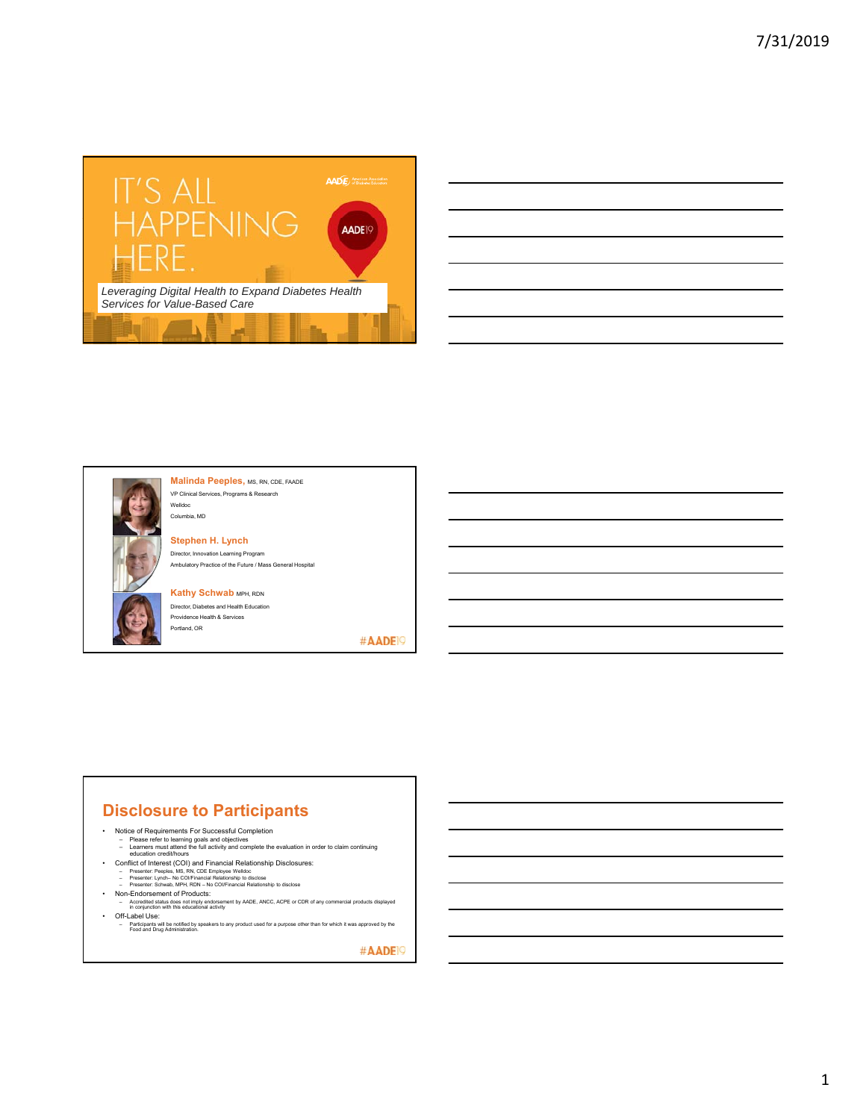





**Malinda Peeples, MS, RN, CDE, FAADE** VP Clinical Services, Programs & Research Welldoc

**Stephen H. Lynch** Director, Innovation Learning Program Ambulatory Practice of the Future / Mass General Hospital

**Kathy Schwab MPH, RDN** 

Columbia, MD

Director, Diabetes and Health Education Providence Health & Services Portland, OR

#AADE<sup>19</sup>

### **Disclosure to Participants**

- 
- 
- Notice of Requirements For Successful Completion<br>– Please refer to learning goals and objectives<br>– Learners must attend the full activity and complete the evaluation in order to claim continuing<br>– education credit/hours
- 
- 
- 
- Conflict of Interest (COI) and Financial Relationship Disclosures:<br>- Presenter: Peeples, MS, RN, CDE Employee Welldoc<br>- Presenter: Lynch- No COVFinancial Relationship to disclose<br>- Presenter: Schwas, MPH, RDN No COVFin
- Off-Label Use:

– Participants will be notified by speakers to any product used for a purpose other than for which it was approved by the Food and Drug Administration.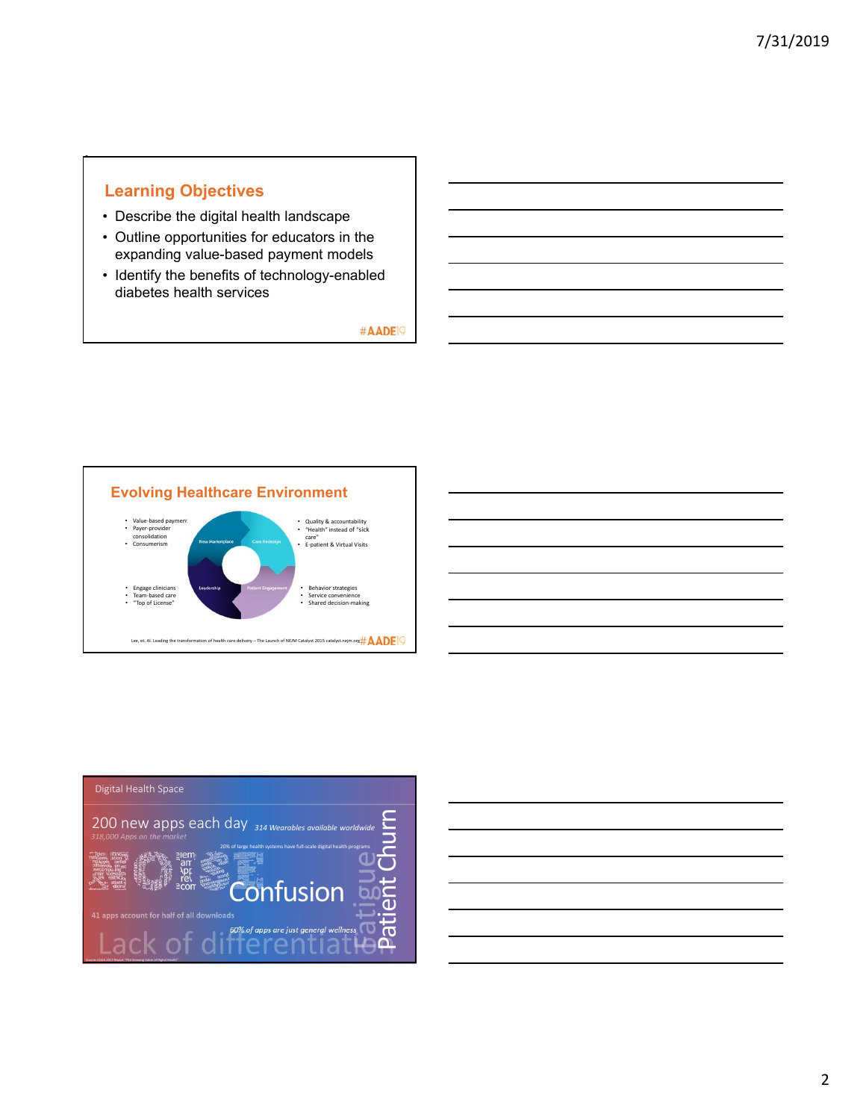## **Learning Objectives**

•

- Describe the digital health landscape
- Outline opportunities for educators in the expanding value-based payment models
- Identify the benefits of technology-enabled diabetes health services





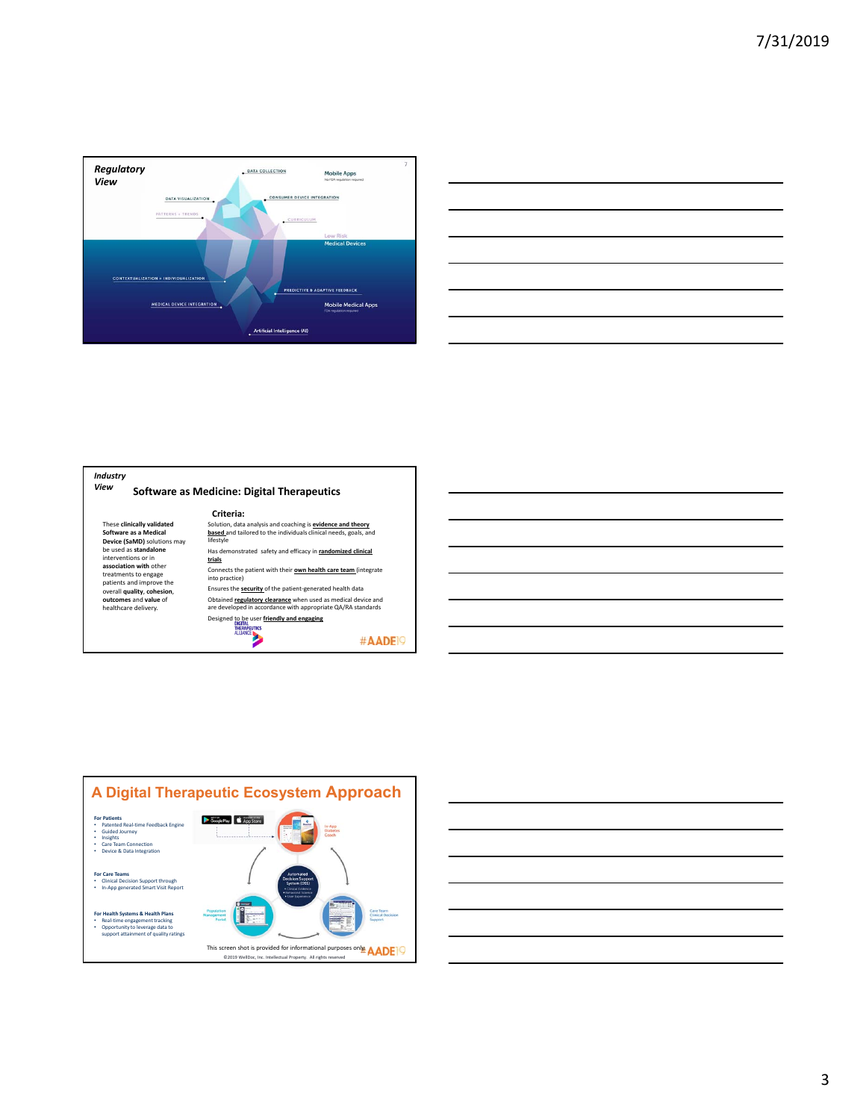

|                                                                                                                        |  |  | ____ |
|------------------------------------------------------------------------------------------------------------------------|--|--|------|
|                                                                                                                        |  |  |      |
|                                                                                                                        |  |  |      |
| <u> 1989 - Johann Stoff, deutscher Stoffen und der Stoffen und der Stoffen und der Stoffen und der Stoffen und der</u> |  |  |      |
|                                                                                                                        |  |  |      |
|                                                                                                                        |  |  |      |





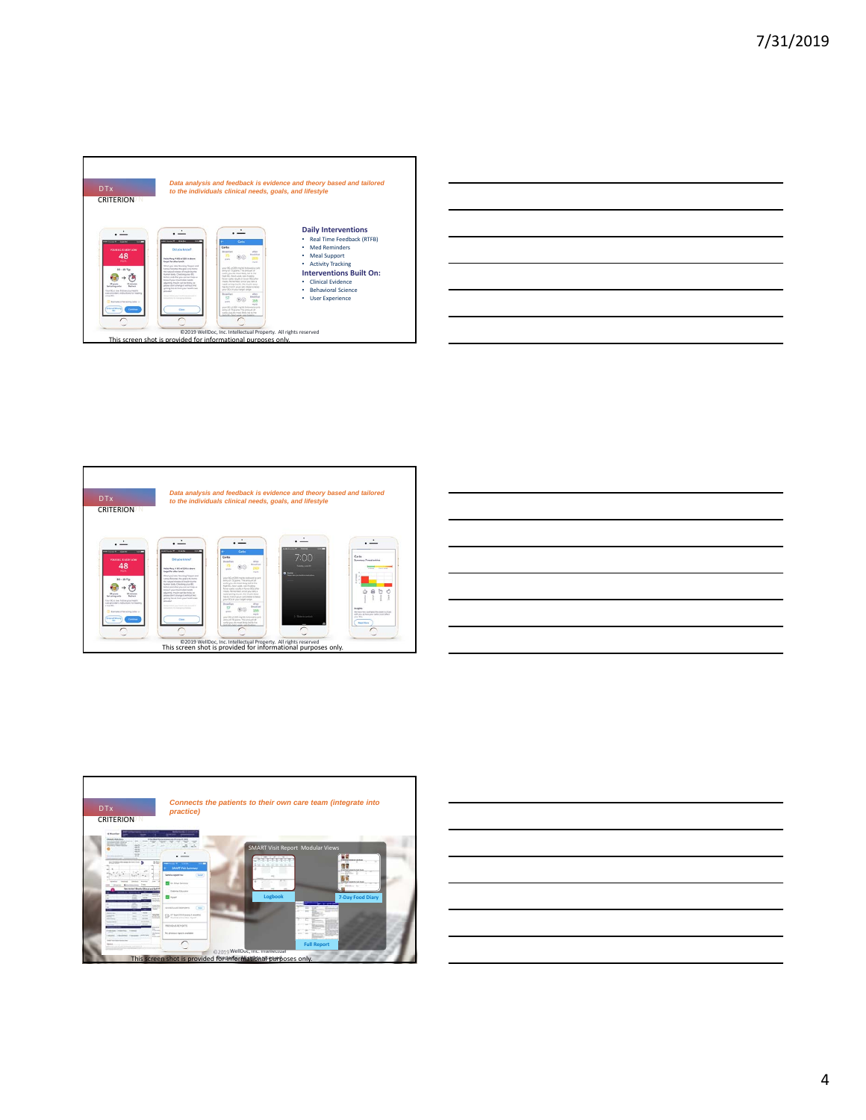









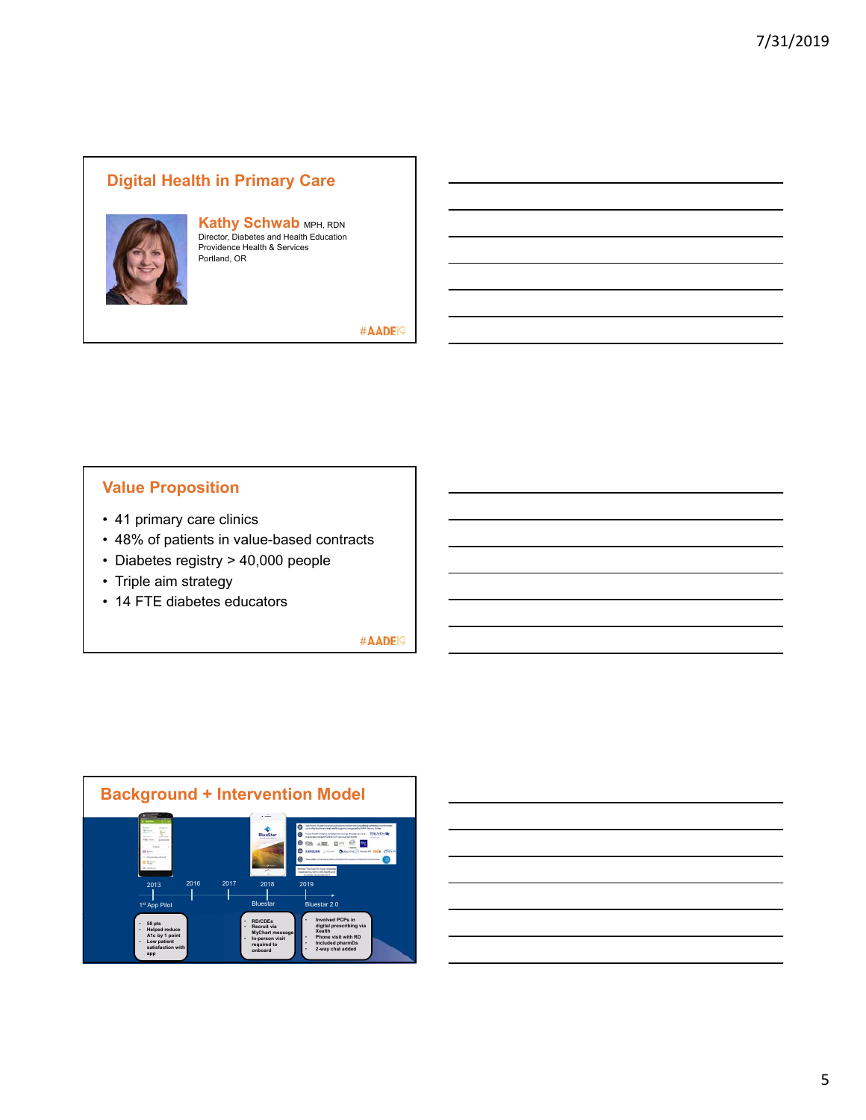## **Digital Health in Primary Care**



# **Kathy Schwab** MPH, RDN<br>Director, Diabetes and Health Education<br>Providence Health & Services Portland, OR

#AADE<sup>19</sup>

## **Value Proposition**

- 41 primary care clinics
- 48% of patients in value-based contracts
- Diabetes registry > 40,000 people
- Triple aim strategy
- 14 FTE diabetes educators

#AADE<sup>19</sup>



### 5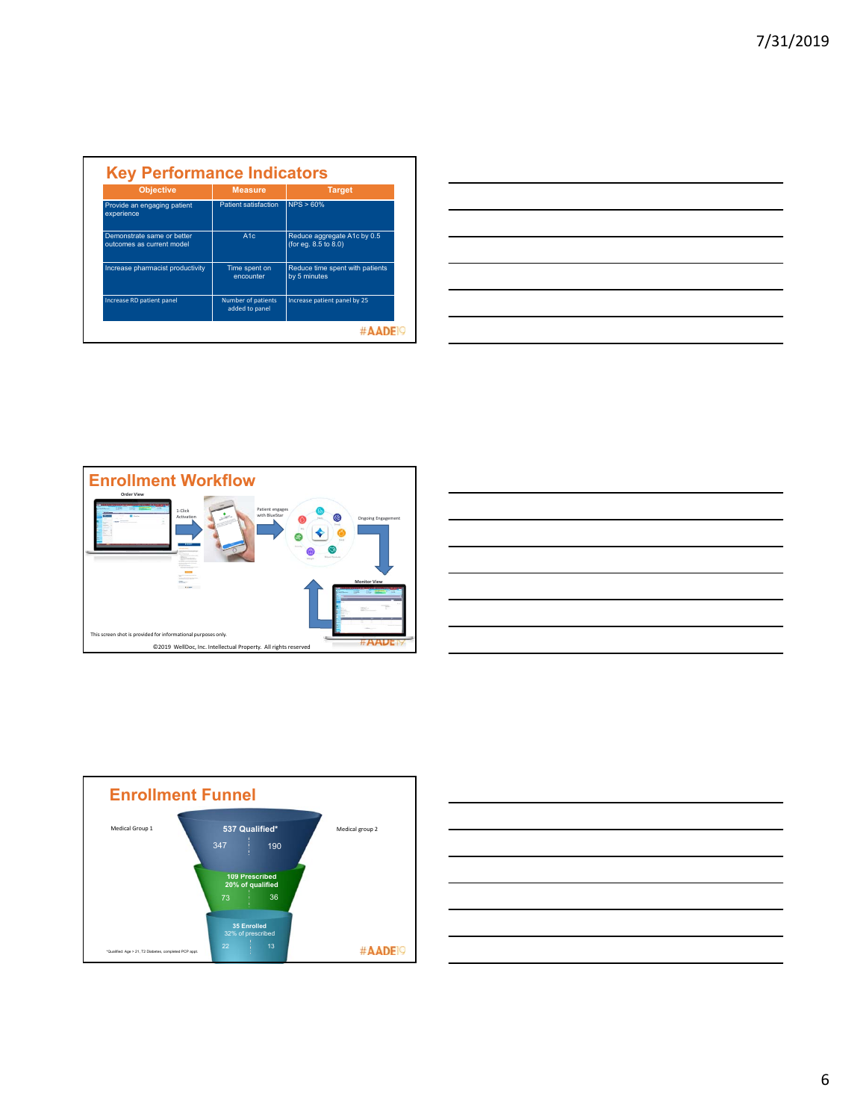| <b>Objective</b>                                        | <b>Measure</b>                       | <b>Target</b>                                       |
|---------------------------------------------------------|--------------------------------------|-----------------------------------------------------|
| Provide an engaging patient<br>experience               | Patient satisfaction                 | NPS > 60%                                           |
| Demonstrate same or better<br>outcomes as current model | A1c                                  | Reduce aggregate A1c by 0.5<br>(for eq. 8.5 to 8.0) |
| Increase pharmacist productivity                        | Time spent on<br>encounter           | Reduce time spent with patients<br>by 5 minutes     |
| Increase RD patient panel                               | Number of patients<br>added to panel | Increase patient panel by 25                        |

| <u> 1989 - Johann John Stone, markin sanadi amerikan bahasa dalam pengaran sebagai pengaran sebagai pengaran seba</u>                                                                                                                |  |     |
|--------------------------------------------------------------------------------------------------------------------------------------------------------------------------------------------------------------------------------------|--|-----|
|                                                                                                                                                                                                                                      |  |     |
| <u>and the company of the company of the company of the company of the company of the company of the company of the company of the company of the company of the company of the company of the company of the company of the com</u> |  |     |
|                                                                                                                                                                                                                                      |  |     |
| __                                                                                                                                                                                                                                   |  |     |
|                                                                                                                                                                                                                                      |  | ___ |
| the contract of the contract of the contract of                                                                                                                                                                                      |  |     |
|                                                                                                                                                                                                                                      |  |     |







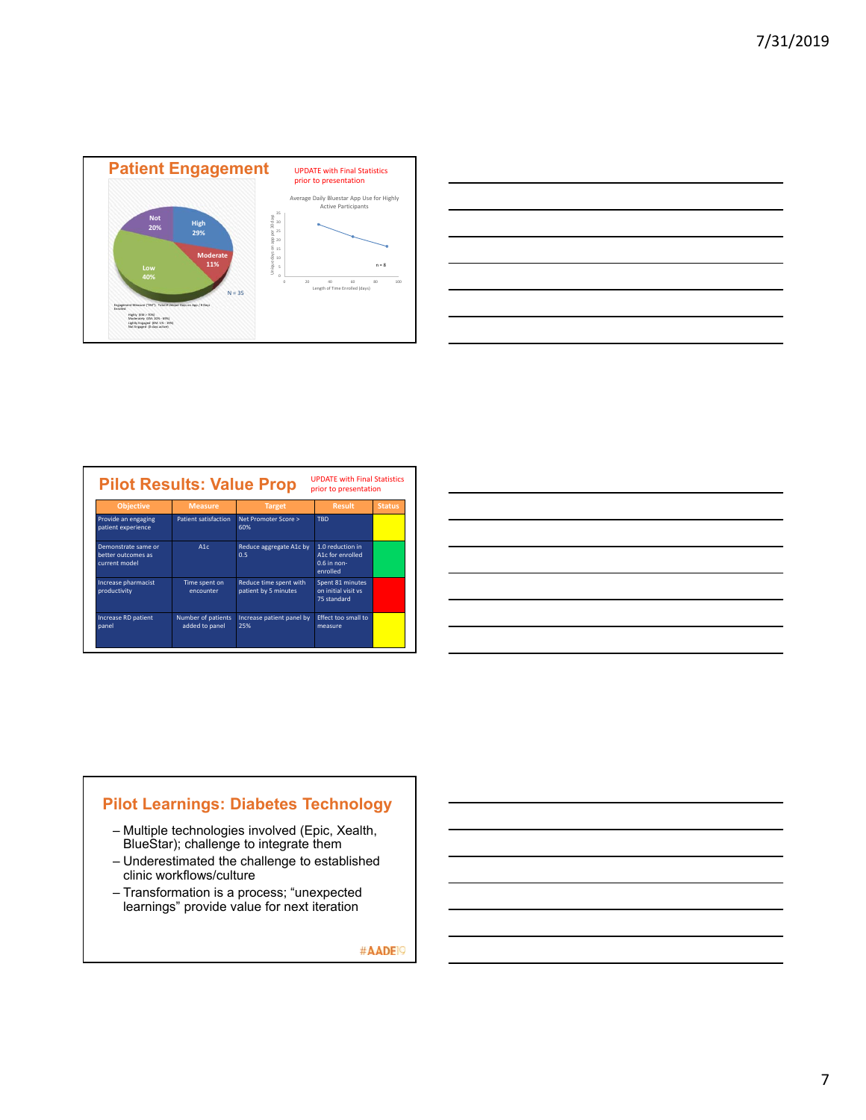

| a series and the series of the series of the series of the series of the series of the series of the series of       |                               |
|----------------------------------------------------------------------------------------------------------------------|-------------------------------|
| <u> Andreas Andreas Andreas Andreas Andreas Andreas Andreas Andreas Andreas Andreas Andreas Andreas Andreas Andr</u> |                               |
|                                                                                                                      | the control of the control of |
| <u> 1999 - Johann John Stone, market fransk kongensation (d. 1989)</u>                                               |                               |
| <u> 1988 - Johann Stoff, amerikansk fotograf (d. 1989)</u>                                                           |                               |
| <u> Alexandro de la contrada de la contrada de la contrada de la contrada de la contrada de la contrada de la co</u> |                               |
|                                                                                                                      |                               |
|                                                                                                                      |                               |

| <b>Objective</b>                                           | <b>Measure</b>                       | <b>Target</b>                                  | <b>Result</b>                                                     | <b>Status</b> |
|------------------------------------------------------------|--------------------------------------|------------------------------------------------|-------------------------------------------------------------------|---------------|
| Provide an engaging<br>patient experience                  | Patient satisfaction                 | Net Promoter Score ><br>60%                    | <b>TRD</b>                                                        |               |
| Demonstrate same or<br>better outcomes as<br>current model | A1c                                  | Reduce aggregate A1c by<br>0.5                 | 1.0 reduction in<br>A1c for enrolled<br>$0.6$ in non-<br>enrolled |               |
| Increase pharmacist<br>productivity                        | Time spent on<br>encounter           | Reduce time spent with<br>patient by 5 minutes | Spent 81 minutes<br>on initial visit vs<br>75 standard            |               |
| Increase RD patient<br>panel                               | Number of patients<br>added to panel | Increase patient panel by<br>25%               | Effect too small to<br>measure                                    |               |

| <u> 1989 - Johann Harry Harry Harry Harry Harry Harry Harry Harry Harry Harry Harry Harry Harry Harry Harry Harry</u>                                                                                                                |  |  |  |
|--------------------------------------------------------------------------------------------------------------------------------------------------------------------------------------------------------------------------------------|--|--|--|
| <u>. In the contract of the contract of the contract of the contract of the contract of the contract of the contract of the contract of the contract of the contract of the contract of the contract of the contract of the cont</u> |  |  |  |
|                                                                                                                                                                                                                                      |  |  |  |
| <u> 1989 - Johann John Stoff, deutscher Stoffen und der Stoffen und der Stoffen und der Stoffen und der Stoffen u</u>                                                                                                                |  |  |  |
|                                                                                                                                                                                                                                      |  |  |  |
| and the control of the control of the control of the control of the control of the control of the control of the                                                                                                                     |  |  |  |
|                                                                                                                                                                                                                                      |  |  |  |
| <b>一个人的人,我们也不能</b> 是一个人的人,我们也不能是一个人的人,我们也不能是一个人的人,我们也不能是一个人的人,我们也不能是一个人的人,我们也不能是一个人的人,我们                                                                                                                                             |  |  |  |

## **Pilot Learnings: Diabetes Technology**

- Multiple technologies involved (Epic, Xealth, BlueStar); challenge to integrate them
- Underestimated the challenge to established clinic workflows/culture
- Transformation is a process; "unexpected learnings" provide value for next iteration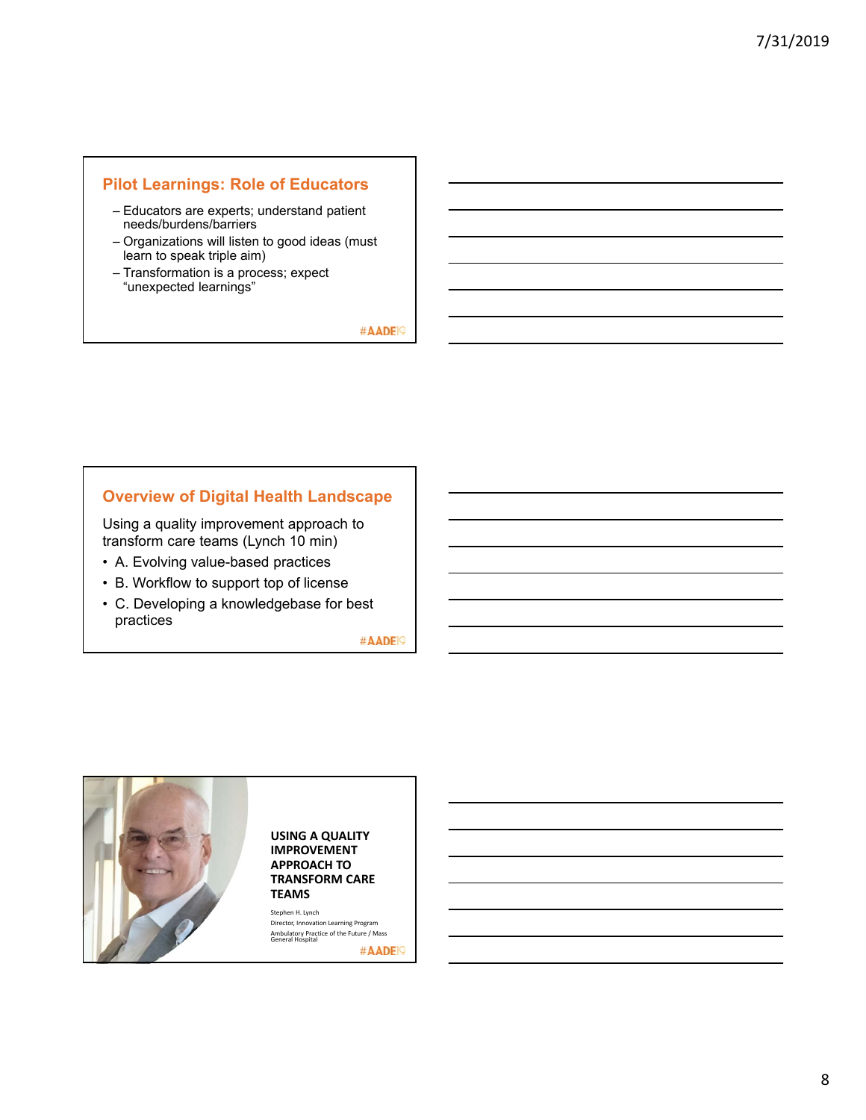### **Pilot Learnings: Role of Educators**

- Educators are experts; understand patient needs/burdens/barriers
- Organizations will listen to good ideas (must learn to speak triple aim)
- Transformation is a process; expect "unexpected learnings"

#AADE<sup>19</sup>

#### **Overview of Digital Health Landscape**

Using a quality improvement approach to transform care teams (Lynch 10 min)

- A. Evolving value-based practices
- B. Workflow to support top of license
- C. Developing a knowledgebase for best practices

#AADE<sup>19</sup>



#### **USING A QUALITY IMPROVEMENT APPROACH TO TRANSFORM CARE**

Director, Innovation Learning Program Ambulatory Practice of the Future / Mass General Hospital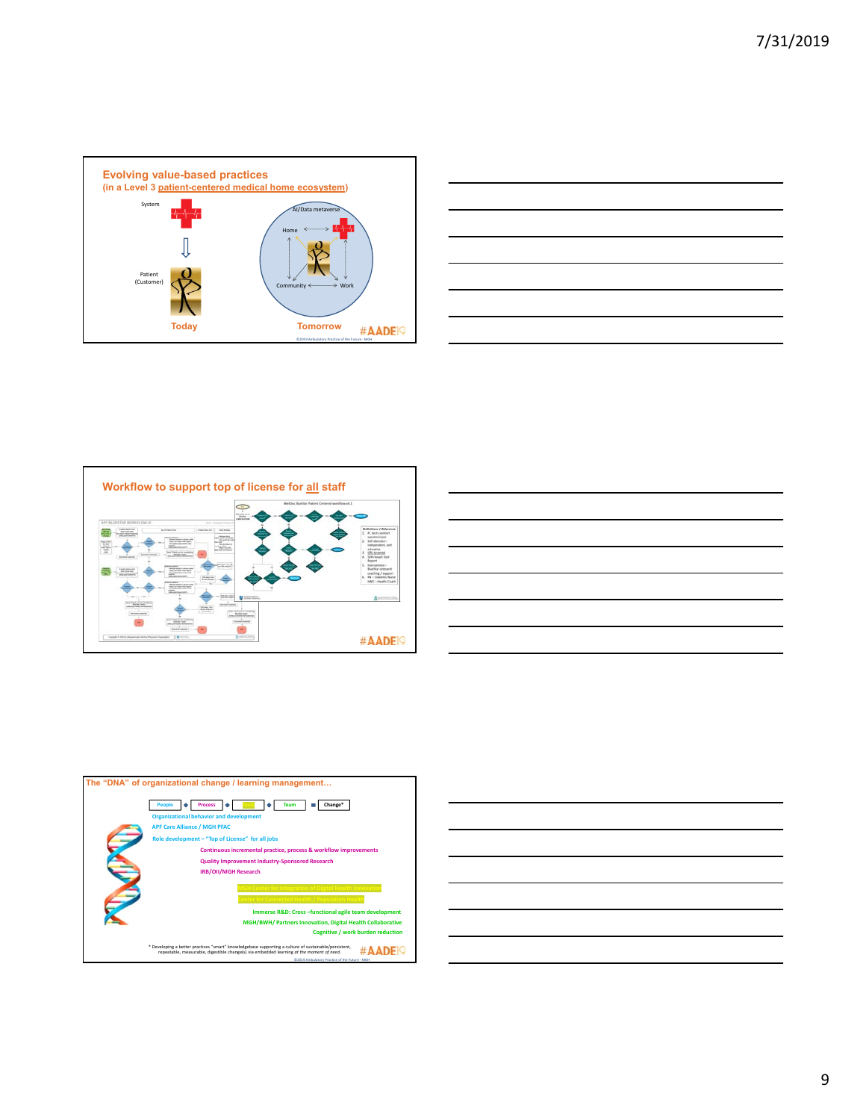